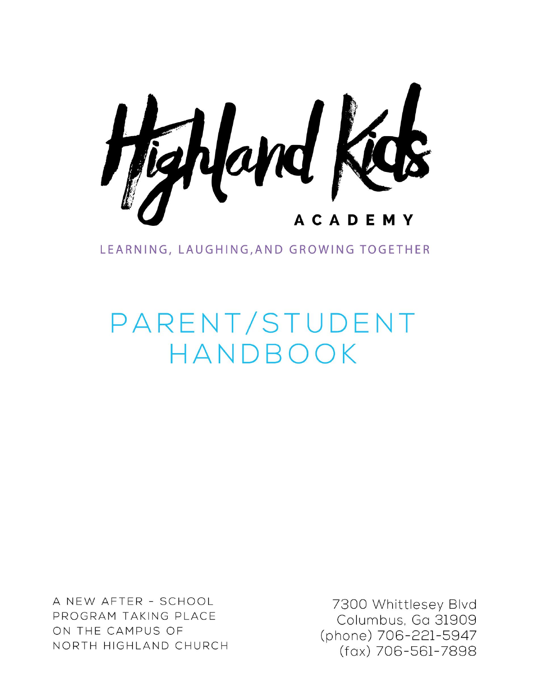

LEARNING, LAUGHING, AND GROWING TOGETHER

# PARENT/STUDENT HANDBOOK

A NEW AFTER - SCHOOL PROGRAM TAKING PLACE ON THE CAMPUS OF NORTH HIGHLAND CHURCH

7300 Whittlesey Blvd Columbus, Ga 31909 (phone) 706-221-5947 (fax) 706-561-7898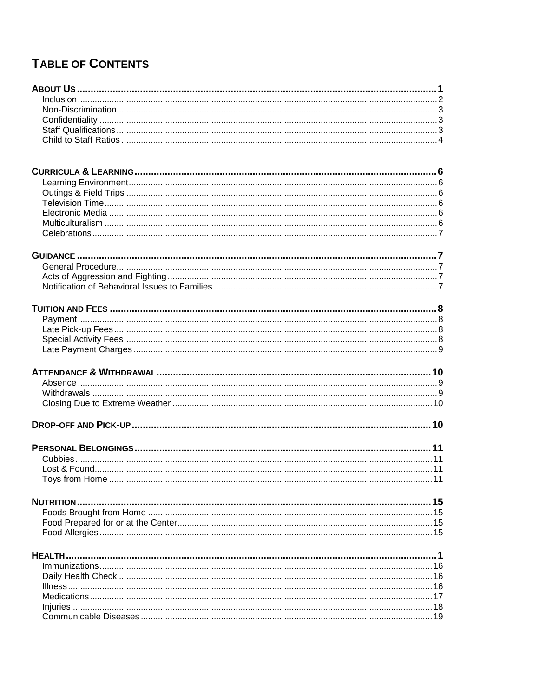# TABLE OF CONTENTS

| HEALTH. |  |
|---------|--|
|         |  |
|         |  |
|         |  |
|         |  |
|         |  |
|         |  |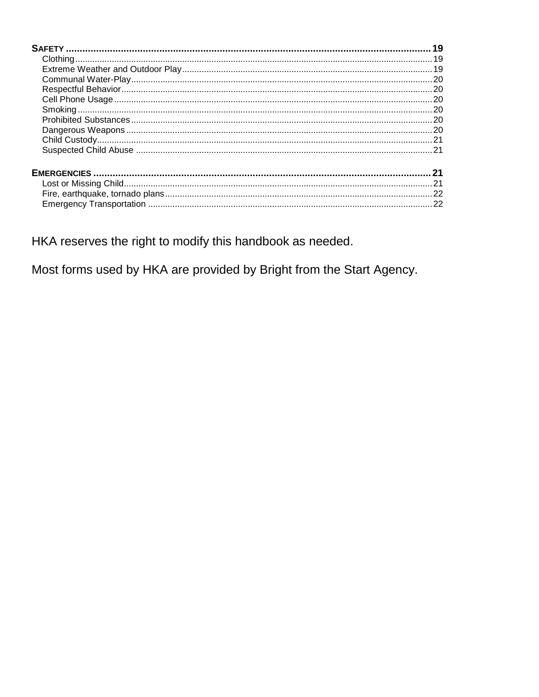HKA reserves the right to modify this handbook as needed.

Most forms used by HKA are provided by Bright from the Start Agency.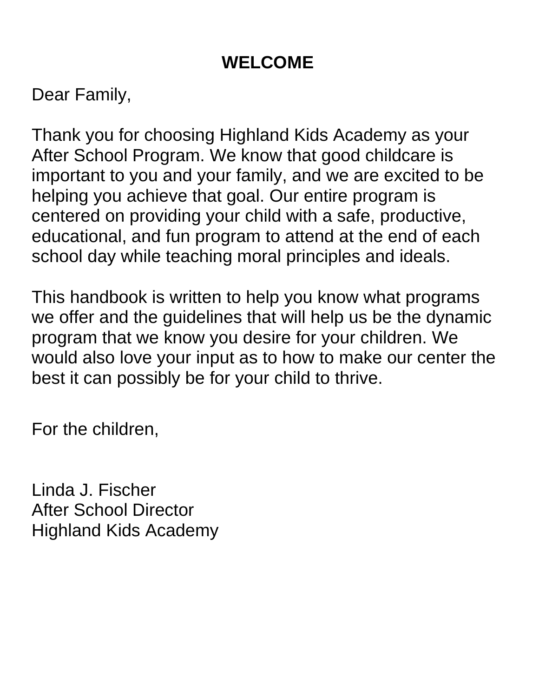# **WELCOME**

Dear Family,

Thank you for choosing Highland Kids Academy as your After School Program. We know that good childcare is important to you and your family, and we are excited to be helping you achieve that goal. Our entire program is centered on providing your child with a safe, productive, educational, and fun program to attend at the end of each school day while teaching moral principles and ideals.

This handbook is written to help you know what programs we offer and the guidelines that will help us be the dynamic program that we know you desire for your children. We would also love your input as to how to make our center the best it can possibly be for your child to thrive.

For the children,

Linda J. Fischer After School Director Highland Kids Academy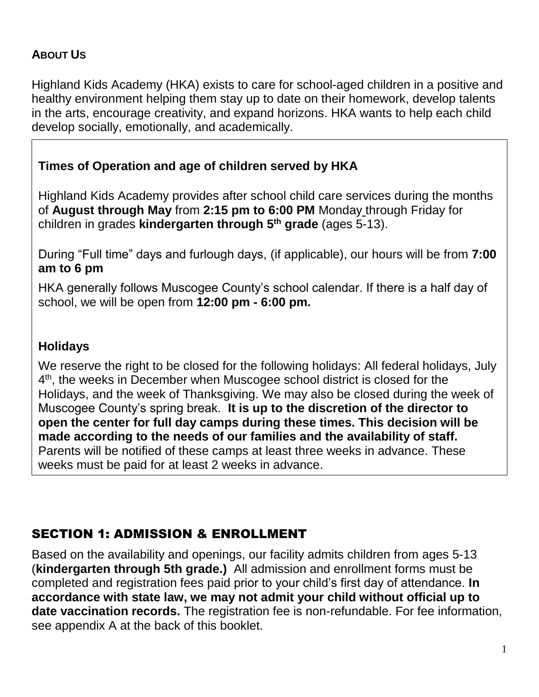## <span id="page-4-0"></span>**ABOUT US**

Highland Kids Academy (HKA) exists to care for school-aged children in a positive and healthy environment helping them stay up to date on their homework, develop talents in the arts, encourage creativity, and expand horizons. HKA wants to help each child develop socially, emotionally, and academically.

## **Times of Operation and age of children served by HKA**

Highland Kids Academy provides after school child care services during the months of **August through May** from **2:15 pm to 6:00 PM** Monday through Friday for children in grades **kindergarten through 5th grade** (ages 5-13).

During "Full time" days and furlough days, (if applicable), our hours will be from **7:00 am to 6 pm** 

HKA generally follows Muscogee County's school calendar. If there is a half day of school, we will be open from **12:00 pm - 6:00 pm.**

#### **Holidays**

We reserve the right to be closed for the following holidays: All federal holidays, July 4<sup>th</sup>, the weeks in December when Muscogee school district is closed for the Holidays, and the week of Thanksgiving. We may also be closed during the week of Muscogee County's spring break. **It is up to the discretion of the director to open the center for full day camps during these times. This decision will be made according to the needs of our families and the availability of staff.**  Parents will be notified of these camps at least three weeks in advance. These weeks must be paid for at least 2 weeks in advance.

## SECTION 1: ADMISSION & ENROLLMENT

Based on the availability and openings, our facility admits children from ages 5-13 (**kindergarten through 5th grade.)** All admission and enrollment forms must be completed and registration fees paid prior to your child's first day of attendance. **In accordance with state law, we may not admit your child without official up to date vaccination records.** The registration fee is non-refundable. For fee information, see appendix A at the back of this booklet.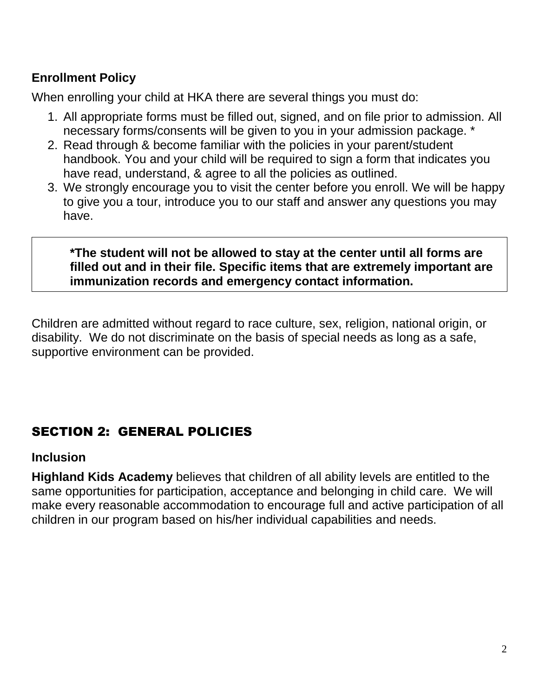## **Enrollment Policy**

When enrolling your child at HKA there are several things you must do:

- 1. All appropriate forms must be filled out, signed, and on file prior to admission. All necessary forms/consents will be given to you in your admission package. \*
- 2. Read through & become familiar with the policies in your parent/student handbook. You and your child will be required to sign a form that indicates you have read, understand, & agree to all the policies as outlined.
- 3. We strongly encourage you to visit the center before you enroll. We will be happy to give you a tour, introduce you to our staff and answer any questions you may have.

#### **\*The student will not be allowed to stay at the center until all forms are filled out and in their file. Specific items that are extremely important are immunization records and emergency contact information.**

Children are admitted without regard to race culture, sex, religion, national origin, or disability. We do not discriminate on the basis of special needs as long as a safe, supportive environment can be provided.

## SECTION 2: GENERAL POLICIES

#### <span id="page-5-0"></span>**Inclusion**

<span id="page-5-1"></span>**Highland Kids Academy** believes that children of all ability levels are entitled to the same opportunities for participation, acceptance and belonging in child care. We will make every reasonable accommodation to encourage full and active participation of all children in our program based on his/her individual capabilities and needs.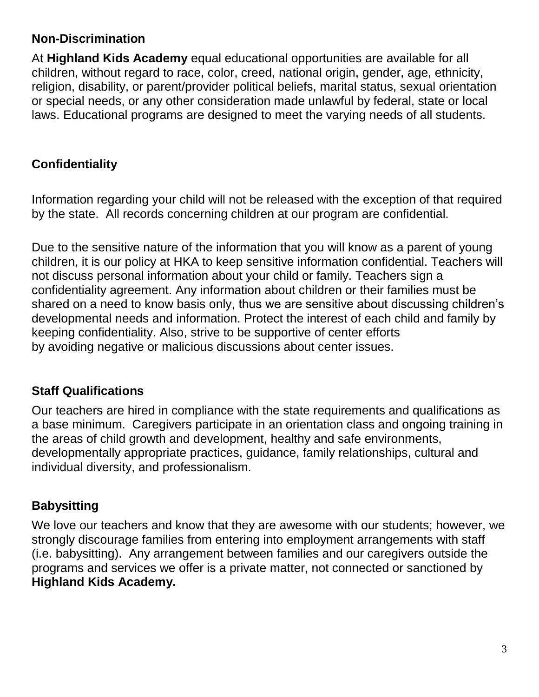#### **Non-Discrimination**

At **Highland Kids Academy** equal educational opportunities are available for all children, without regard to race, color, creed, national origin, gender, age, ethnicity, religion, disability, or parent/provider political beliefs, marital status, sexual orientation or special needs, or any other consideration made unlawful by federal, state or local laws. Educational programs are designed to meet the varying needs of all students.

## <span id="page-6-0"></span>**Confidentiality**

Information regarding your child will not be released with the exception of that required by the state. All records concerning children at our program are confidential.

Due to the sensitive nature of the information that you will know as a parent of young children, it is our policy at HKA to keep sensitive information confidential. Teachers will not discuss personal information about your child or family. Teachers sign a confidentiality agreement. Any information about children or their families must be shared on a need to know basis only, thus we are sensitive about discussing children's developmental needs and information. Protect the interest of each child and family by keeping confidentiality. Also, strive to be supportive of center efforts by avoiding negative or malicious discussions about center issues.

#### <span id="page-6-1"></span>**Staff Qualifications**

Our teachers are hired in compliance with the state requirements and qualifications as a base minimum. Caregivers participate in an orientation class and ongoing training in the areas of child growth and development, healthy and safe environments, developmentally appropriate practices, guidance, family relationships, cultural and individual diversity, and professionalism.

#### **Babysitting**

We love our teachers and know that they are awesome with our students; however, we strongly discourage families from entering into employment arrangements with staff (i.e. babysitting). Any arrangement between families and our caregivers outside the programs and services we offer is a private matter, not connected or sanctioned by **Highland Kids Academy.**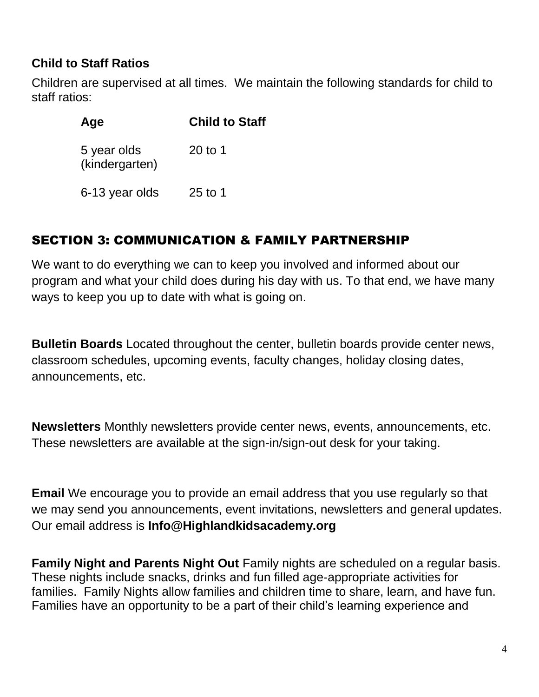## <span id="page-7-0"></span>**Child to Staff Ratios**

Children are supervised at all times. We maintain the following standards for child to staff ratios:

| Age                           | <b>Child to Staff</b> |
|-------------------------------|-----------------------|
| 5 year olds<br>(kindergarten) | 20 to 1               |
| 6-13 year olds                | $25$ to 1             |

## SECTION 3: COMMUNICATION & FAMILY PARTNERSHIP

We want to do everything we can to keep you involved and informed about our program and what your child does during his day with us. To that end, we have many ways to keep you up to date with what is going on.

**Bulletin Boards** Located throughout the center, bulletin boards provide center news, classroom schedules, upcoming events, faculty changes, holiday closing dates, announcements, etc.

**Newsletters** Monthly newsletters provide center news, events, announcements, etc. These newsletters are available at the sign-in/sign-out desk for your taking.

**Email** We encourage you to provide an email address that you use regularly so that we may send you announcements, event invitations, newsletters and general updates. Our email address is **Info@Highlandkidsacademy.org**

**Family Night and Parents Night Out** Family nights are scheduled on a regular basis. These nights include snacks, drinks and fun filled age-appropriate activities for families. Family Nights allow families and children time to share, learn, and have fun. Families have an opportunity to be a part of their child's learning experience and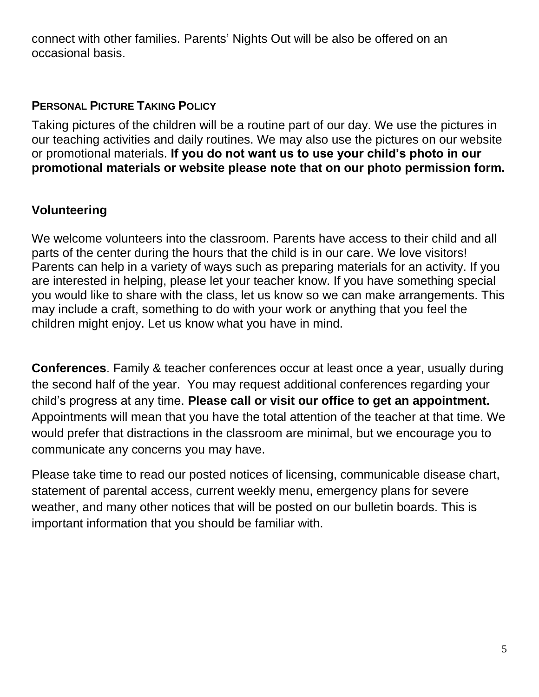connect with other families. Parents' Nights Out will be also be offered on an occasional basis.

#### **PERSONAL PICTURE TAKING POLICY**

Taking pictures of the children will be a routine part of our day. We use the pictures in our teaching activities and daily routines. We may also use the pictures on our website or promotional materials. **If you do not want us to use your child's photo in our promotional materials or website please note that on our photo permission form.**

## **Volunteering**

We welcome volunteers into the classroom. Parents have access to their child and all parts of the center during the hours that the child is in our care. We love visitors! Parents can help in a variety of ways such as preparing materials for an activity. If you are interested in helping, please let your teacher know. If you have something special you would like to share with the class, let us know so we can make arrangements. This may include a craft, something to do with your work or anything that you feel the children might enjoy. Let us know what you have in mind.

**Conferences**. Family & teacher conferences occur at least once a year, usually during the second half of the year. You may request additional conferences regarding your child's progress at any time. **Please call or visit our office to get an appointment.** Appointments will mean that you have the total attention of the teacher at that time. We would prefer that distractions in the classroom are minimal, but we encourage you to communicate any concerns you may have.

Please take time to read our posted notices of licensing, communicable disease chart, statement of parental access, current weekly menu, emergency plans for severe weather, and many other notices that will be posted on our bulletin boards. This is important information that you should be familiar with.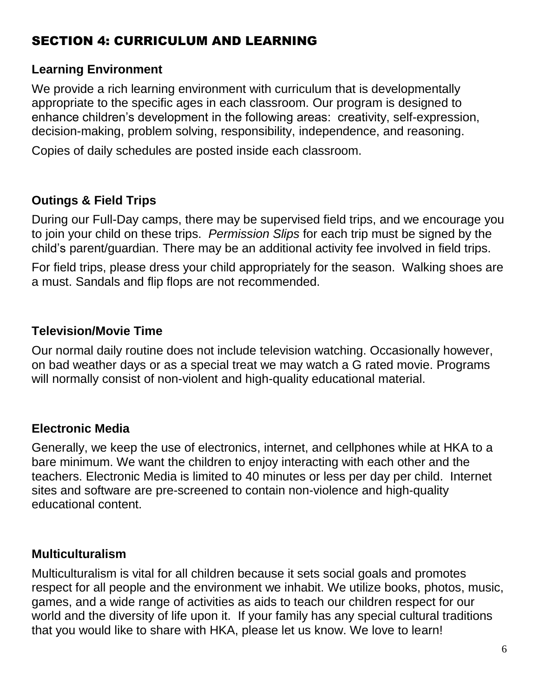## SECTION 4: CURRICULUM AND LEARNING

#### <span id="page-9-0"></span>**Learning Environment**

We provide a rich learning environment with curriculum that is developmentally appropriate to the specific ages in each classroom. Our program is designed to enhance children's development in the following areas: creativity, self-expression, decision-making, problem solving, responsibility, independence, and reasoning.

<span id="page-9-1"></span>Copies of daily schedules are posted inside each classroom.

## **Outings & Field Trips**

During our Full-Day camps, there may be supervised field trips, and we encourage you to join your child on these trips. *Permission Slips* for each trip must be signed by the child's parent/guardian. There may be an additional activity fee involved in field trips.

<span id="page-9-2"></span>For field trips, please dress your child appropriately for the season. Walking shoes are a must. Sandals and flip flops are not recommended.

## **Television/Movie Time**

Our normal daily routine does not include television watching. Occasionally however, on bad weather days or as a special treat we may watch a G rated movie. Programs will normally consist of non-violent and high-quality educational material.

## <span id="page-9-3"></span>**Electronic Media**

Generally, we keep the use of electronics, internet, and cellphones while at HKA to a bare minimum. We want the children to enjoy interacting with each other and the teachers. Electronic Media is limited to 40 minutes or less per day per child. Internet sites and software are pre-screened to contain non-violence and high-quality educational content.

## <span id="page-9-4"></span>**Multiculturalism**

Multiculturalism is vital for all children because it sets social goals and promotes respect for all people and the environment we inhabit. We utilize books, photos, music, games, and a wide range of activities as aids to teach our children respect for our world and the diversity of life upon it. If your family has any special cultural traditions that you would like to share with HKA, please let us know. We love to learn!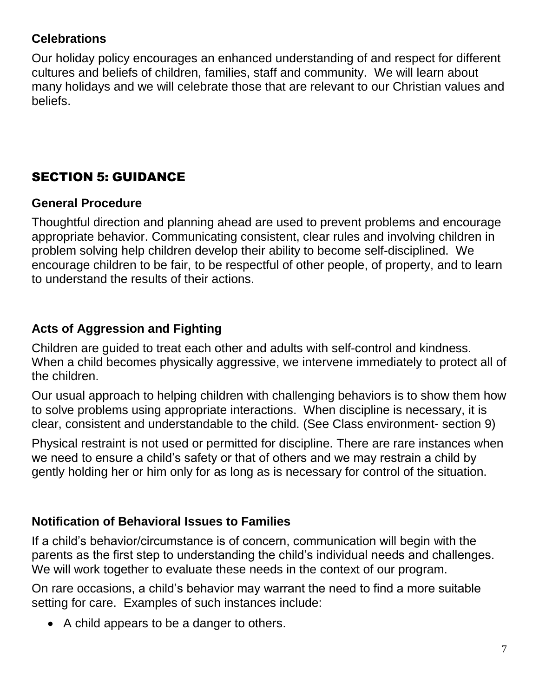#### <span id="page-10-0"></span>**Celebrations**

Our holiday policy encourages an enhanced understanding of and respect for different cultures and beliefs of children, families, staff and community. We will learn about many holidays and we will celebrate those that are relevant to our Christian values and beliefs.

## <span id="page-10-1"></span>SECTION 5: GUIDANCE

#### <span id="page-10-2"></span>**General Procedure**

Thoughtful direction and planning ahead are used to prevent problems and encourage appropriate behavior. Communicating consistent, clear rules and involving children in problem solving help children develop their ability to become self-disciplined. We encourage children to be fair, to be respectful of other people, of property, and to learn to understand the results of their actions.

## <span id="page-10-3"></span>**Acts of Aggression and Fighting**

Children are guided to treat each other and adults with self-control and kindness. When a child becomes physically aggressive, we intervene immediately to protect all of the children.

Our usual approach to helping children with challenging behaviors is to show them how to solve problems using appropriate interactions. When discipline is necessary, it is clear, consistent and understandable to the child. (See Class environment- section 9)

Physical restraint is not used or permitted for discipline. There are rare instances when we need to ensure a child's safety or that of others and we may restrain a child by gently holding her or him only for as long as is necessary for control of the situation.

## <span id="page-10-4"></span>**Notification of Behavioral Issues to Families**

If a child's behavior/circumstance is of concern, communication will begin with the parents as the first step to understanding the child's individual needs and challenges. We will work together to evaluate these needs in the context of our program.

On rare occasions, a child's behavior may warrant the need to find a more suitable setting for care. Examples of such instances include:

A child appears to be a danger to others.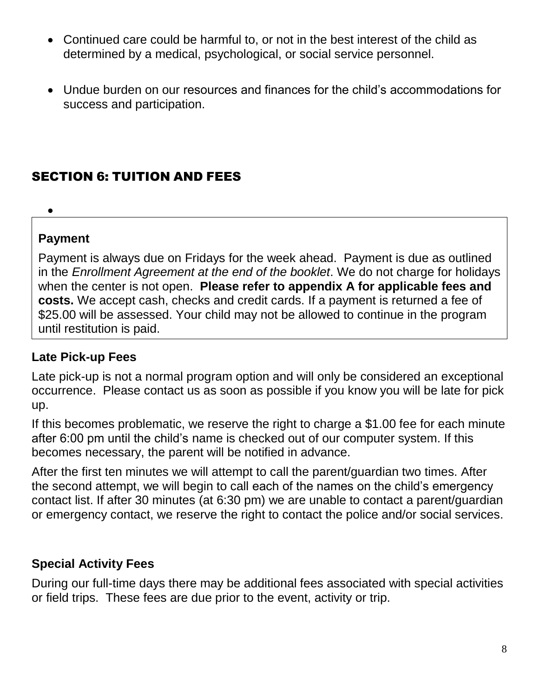- Continued care could be harmful to, or not in the best interest of the child as determined by a medical, psychological, or social service personnel.
- <span id="page-11-0"></span> Undue burden on our resources and finances for the child's accommodations for success and participation.

## SECTION 6: TUITION AND FEES

## $\bullet$

#### **Payment**

Payment is always due on Fridays for the week ahead. Payment is due as outlined in the *Enrollment Agreement at the end of the booklet*. We do not charge for holidays when the center is not open. **Please refer to appendix A for applicable fees and costs.** We accept cash, checks and credit cards. If a payment is returned a fee of \$25.00 will be assessed. Your child may not be allowed to continue in the program until restitution is paid.

#### <span id="page-11-1"></span>**Late Pick-up Fees**

Late pick-up is not a normal program option and will only be considered an exceptional occurrence. Please contact us as soon as possible if you know you will be late for pick up.

If this becomes problematic, we reserve the right to charge a \$1.00 fee for each minute after 6:00 pm until the child's name is checked out of our computer system. If this becomes necessary, the parent will be notified in advance.

After the first ten minutes we will attempt to call the parent/guardian two times. After the second attempt, we will begin to call each of the names on the child's emergency contact list. If after 30 minutes (at 6:30 pm) we are unable to contact a parent/guardian or emergency contact, we reserve the right to contact the police and/or social services.

## <span id="page-11-2"></span>**Special Activity Fees**

During our full-time days there may be additional fees associated with special activities or field trips. These fees are due prior to the event, activity or trip.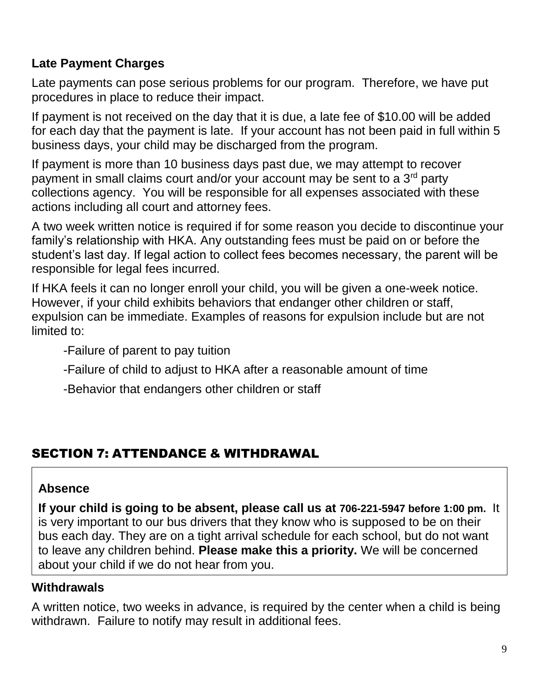## <span id="page-12-0"></span>**Late Payment Charges**

Late payments can pose serious problems for our program. Therefore, we have put procedures in place to reduce their impact.

If payment is not received on the day that it is due, a late fee of \$10.00 will be added for each day that the payment is late. If your account has not been paid in full within 5 business days, your child may be discharged from the program.

If payment is more than 10 business days past due, we may attempt to recover payment in small claims court and/or your account may be sent to a 3rd party collections agency. You will be responsible for all expenses associated with these actions including all court and attorney fees.

A two week written notice is required if for some reason you decide to discontinue your family's relationship with HKA. Any outstanding fees must be paid on or before the student's last day. If legal action to collect fees becomes necessary, the parent will be responsible for legal fees incurred.

If HKA feels it can no longer enroll your child, you will be given a one-week notice. However, if your child exhibits behaviors that endanger other children or staff, expulsion can be immediate. Examples of reasons for expulsion include but are not limited to:

-Failure of parent to pay tuition

-Failure of child to adjust to HKA after a reasonable amount of time

-Behavior that endangers other children or staff

## SECTION 7: ATTENDANCE & WITHDRAWAL

#### **Absence**

**If your child is going to be absent, please call us at 706-221-5947 before 1:00 pm.** It is very important to our bus drivers that they know who is supposed to be on their bus each day. They are on a tight arrival schedule for each school, but do not want to leave any children behind. **Please make this a priority.** We will be concerned about your child if we do not hear from you.

#### <span id="page-12-1"></span>**Withdrawals**

A written notice, two weeks in advance, is required by the center when a child is being withdrawn. Failure to notify may result in additional fees.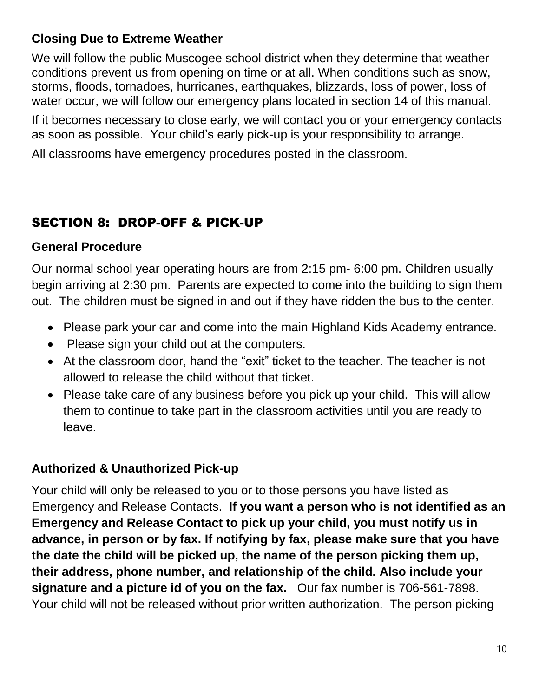## <span id="page-13-0"></span>**Closing Due to Extreme Weather**

We will follow the public Muscogee school district when they determine that weather conditions prevent us from opening on time or at all. When conditions such as snow, storms, floods, tornadoes, hurricanes, earthquakes, blizzards, loss of power, loss of water occur, we will follow our emergency plans located in section 14 of this manual.

If it becomes necessary to close early, we will contact you or your emergency contacts as soon as possible. Your child's early pick-up is your responsibility to arrange.

<span id="page-13-1"></span>All classrooms have emergency procedures posted in the classroom.

## SECTION 8: DROP-OFF & PICK-UP

#### **General Procedure**

Our normal school year operating hours are from 2:15 pm- 6:00 pm. Children usually begin arriving at 2:30 pm. Parents are expected to come into the building to sign them out. The children must be signed in and out if they have ridden the bus to the center.

- Please park your car and come into the main Highland Kids Academy entrance.
- Please sign your child out at the computers.
- At the classroom door, hand the "exit" ticket to the teacher. The teacher is not allowed to release the child without that ticket.
- Please take care of any business before you pick up your child. This will allow them to continue to take part in the classroom activities until you are ready to leave.

## **Authorized & Unauthorized Pick-up**

Your child will only be released to you or to those persons you have listed as Emergency and Release Contacts. **If you want a person who is not identified as an Emergency and Release Contact to pick up your child, you must notify us in advance, in person or by fax. If notifying by fax, please make sure that you have the date the child will be picked up, the name of the person picking them up, their address, phone number, and relationship of the child. Also include your signature and a picture id of you on the fax.** Our fax number is 706-561-7898. Your child will not be released without prior written authorization. The person picking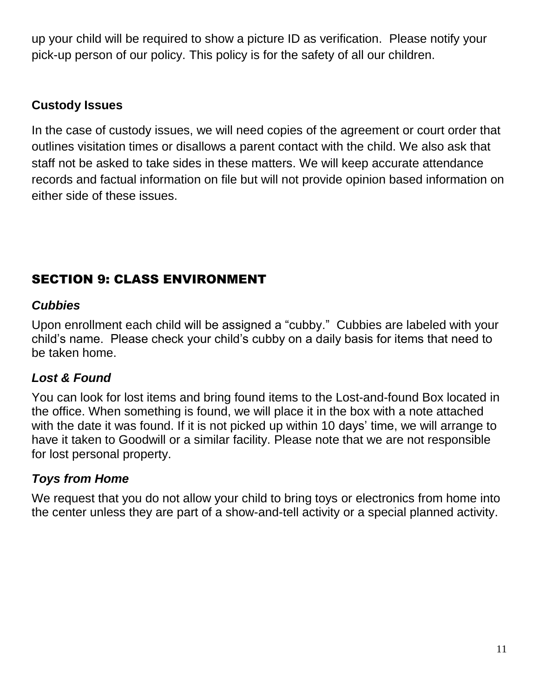up your child will be required to show a picture ID as verification. Please notify your pick-up person of our policy. This policy is for the safety of all our children.

## **Custody Issues**

In the case of custody issues, we will need copies of the agreement or court order that outlines visitation times or disallows a parent contact with the child. We also ask that staff not be asked to take sides in these matters. We will keep accurate attendance records and factual information on file but will not provide opinion based information on either side of these issues.

## <span id="page-14-0"></span>SECTION 9: CLASS ENVIRONMENT

#### <span id="page-14-1"></span>*Cubbies*

Upon enrollment each child will be assigned a "cubby." Cubbies are labeled with your child's name. Please check your child's cubby on a daily basis for items that need to be taken home.

## <span id="page-14-2"></span>*Lost & Found*

You can look for lost items and bring found items to the Lost-and-found Box located in the office. When something is found, we will place it in the box with a note attached with the date it was found. If it is not picked up within 10 days' time, we will arrange to have it taken to Goodwill or a similar facility. Please note that we are not responsible for lost personal property.

## <span id="page-14-3"></span>*Toys from Home*

We request that you do not allow your child to bring toys or electronics from home into the center unless they are part of a show-and-tell activity or a special planned activity.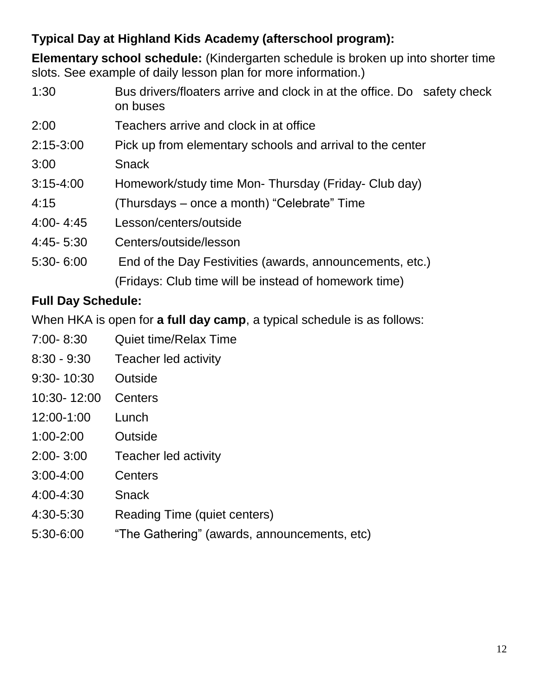## **Typical Day at Highland Kids Academy (afterschool program):**

**Elementary school schedule:** (Kindergarten schedule is broken up into shorter time slots. See example of daily lesson plan for more information.)

| 1:30          | Bus drivers/floaters arrive and clock in at the office. Do safety check<br>on buses |
|---------------|-------------------------------------------------------------------------------------|
| 2:00          | Teachers arrive and clock in at office                                              |
| $2:15 - 3:00$ | Pick up from elementary schools and arrival to the center                           |
| 3:00          | <b>Snack</b>                                                                        |
| $3:15 - 4:00$ | Homework/study time Mon-Thursday (Friday-Club day)                                  |
| 4:15          | (Thursdays – once a month) "Celebrate" Time                                         |
| $4:00 - 4:45$ | Lesson/centers/outside                                                              |
| 4:45-5:30     | Centers/outside/lesson                                                              |
| $5:30 - 6:00$ | End of the Day Festivities (awards, announcements, etc.)                            |
|               | (Fridays: Club time will be instead of homework time)                               |

## **Full Day Schedule:**

When HKA is open for **a full day camp**, a typical schedule is as follows:

- 7:00- 8:30 Quiet time/Relax Time
- 8:30 9:30 Teacher led activity
- 9:30- 10:30 Outside
- 10:30- 12:00 Centers
- 12:00-1:00 Lunch
- 1:00-2:00 Outside
- 2:00- 3:00 Teacher led activity
- 3:00-4:00 Centers
- 4:00-4:30 Snack
- 4:30-5:30 Reading Time (quiet centers)
- 5:30-6:00 "The Gathering" (awards, announcements, etc)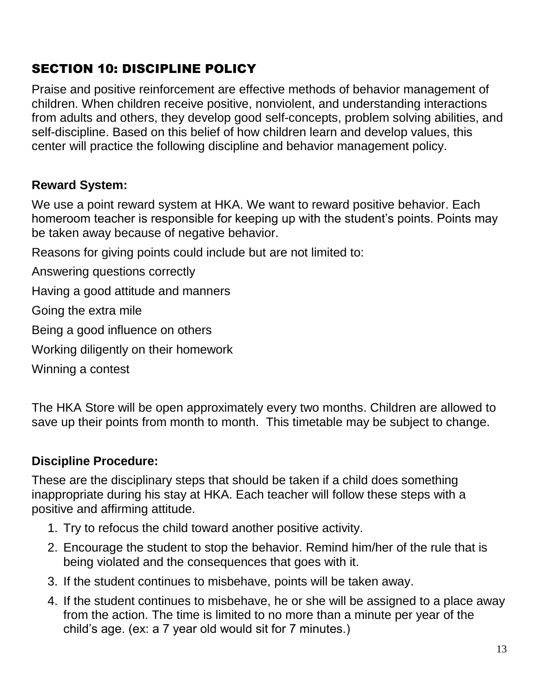## SECTION 10: DISCIPLINE POLICY

Praise and positive reinforcement are effective methods of behavior management of children. When children receive positive, nonviolent, and understanding interactions from adults and others, they develop good self-concepts, problem solving abilities, and self-discipline. Based on this belief of how children learn and develop values, this center will practice the following discipline and behavior management policy.

## **Reward System:**

We use a point reward system at HKA. We want to reward positive behavior. Each homeroom teacher is responsible for keeping up with the student's points. Points may be taken away because of negative behavior.

Reasons for giving points could include but are not limited to:

Answering questions correctly

Having a good attitude and manners

Going the extra mile

Being a good influence on others

Working diligently on their homework

Winning a contest

The HKA Store will be open approximately every two months. Children are allowed to save up their points from month to month. This timetable may be subject to change.

## **Discipline Procedure:**

These are the disciplinary steps that should be taken if a child does something inappropriate during his stay at HKA. Each teacher will follow these steps with a positive and affirming attitude.

- 1. Try to refocus the child toward another positive activity.
- 2. Encourage the student to stop the behavior. Remind him/her of the rule that is being violated and the consequences that goes with it.
- 3. If the student continues to misbehave, points will be taken away.
- 4. If the student continues to misbehave, he or she will be assigned to a place away from the action. The time is limited to no more than a minute per year of the child's age. (ex: a 7 year old would sit for 7 minutes.)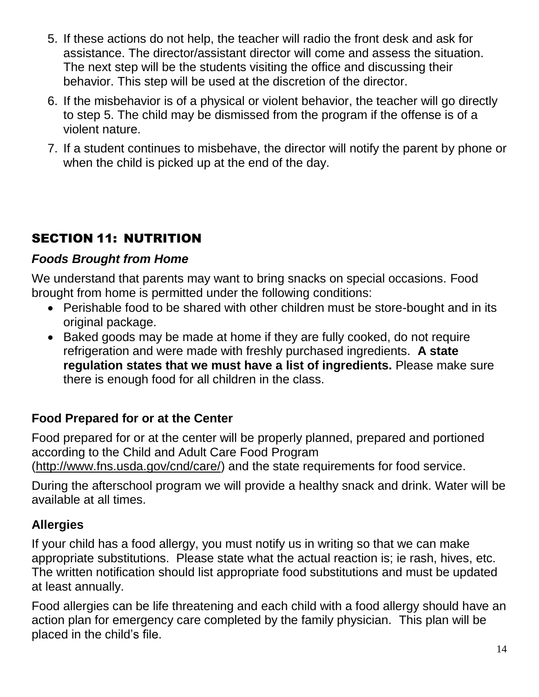- 5. If these actions do not help, the teacher will radio the front desk and ask for assistance. The director/assistant director will come and assess the situation. The next step will be the students visiting the office and discussing their behavior. This step will be used at the discretion of the director.
- 6. If the misbehavior is of a physical or violent behavior, the teacher will go directly to step 5. The child may be dismissed from the program if the offense is of a violent nature.
- <span id="page-17-0"></span>7. If a student continues to misbehave, the director will notify the parent by phone or when the child is picked up at the end of the day.

## SECTION 11: NUTRITION

## <span id="page-17-1"></span>*Foods Brought from Home*

We understand that parents may want to bring snacks on special occasions. Food brought from home is permitted under the following conditions:

- Perishable food to be shared with other children must be store-bought and in its original package.
- Baked goods may be made at home if they are fully cooked, do not require refrigeration and were made with freshly purchased ingredients. **A state regulation states that we must have a list of ingredients.** Please make sure there is enough food for all children in the class.

## <span id="page-17-2"></span>**Food Prepared for or at the Center**

Food prepared for or at the center will be properly planned, prepared and portioned according to the Child and Adult Care Food Program [\(http://www.fns.usda.gov/cnd/care/\)](http://www.fns.usda.gov/cnd/care/) and the state requirements for food service.

During the afterschool program we will provide a healthy snack and drink. Water will be available at all times.

## <span id="page-17-3"></span>**Allergies**

If your child has a food allergy, you must notify us in writing so that we can make appropriate substitutions. Please state what the actual reaction is; ie rash, hives, etc. The written notification should list appropriate food substitutions and must be updated at least annually.

Food allergies can be life threatening and each child with a food allergy should have an action plan for emergency care completed by the family physician. This plan will be placed in the child's file.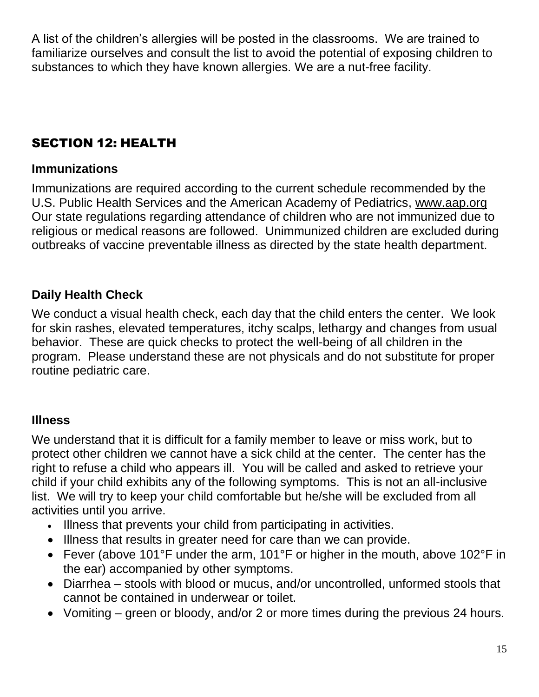<span id="page-18-0"></span>A list of the children's allergies will be posted in the classrooms. We are trained to familiarize ourselves and consult the list to avoid the potential of exposing children to substances to which they have known allergies. We are a nut-free facility.

## SECTION 12: HEALTH

#### <span id="page-18-1"></span>**Immunizations**

Immunizations are required according to the current schedule recommended by the U.S. Public Health Services and the American Academy of Pediatrics, [www.aap.org](http://www.aap.org/)  Our state regulations regarding attendance of children who are not immunized due to religious or medical reasons are followed. Unimmunized children are excluded during outbreaks of vaccine preventable illness as directed by the state health department.

## <span id="page-18-2"></span>**Daily Health Check**

We conduct a visual health check, each day that the child enters the center. We look for skin rashes, elevated temperatures, itchy scalps, lethargy and changes from usual behavior. These are quick checks to protect the well-being of all children in the program. Please understand these are not physicals and do not substitute for proper routine pediatric care.

## <span id="page-18-3"></span>**Illness**

We understand that it is difficult for a family member to leave or miss work, but to protect other children we cannot have a sick child at the center. The center has the right to refuse a child who appears ill. You will be called and asked to retrieve your child if your child exhibits any of the following symptoms. This is not an all-inclusive list. We will try to keep your child comfortable but he/she will be excluded from all activities until you arrive.

- Illness that prevents your child from participating in activities.
- Illness that results in greater need for care than we can provide.
- Fever (above 101°F under the arm, 101°F or higher in the mouth, above 102°F in the ear) accompanied by other symptoms.
- Diarrhea stools with blood or mucus, and/or uncontrolled, unformed stools that cannot be contained in underwear or toilet.
- Vomiting green or bloody, and/or 2 or more times during the previous 24 hours.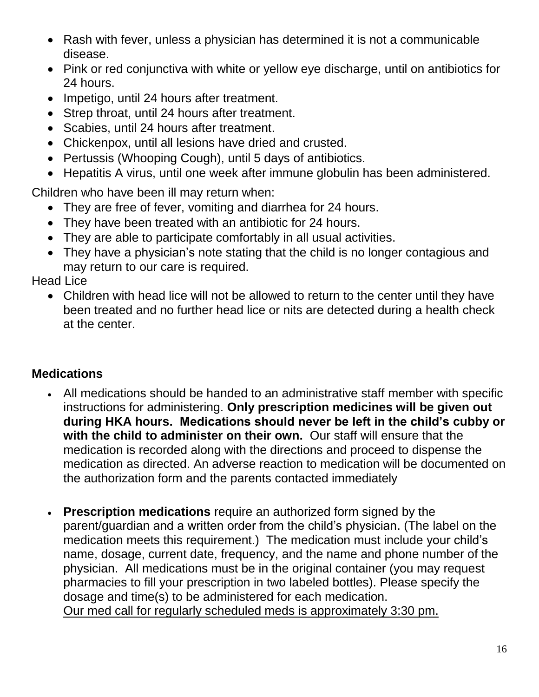- Rash with fever, unless a physician has determined it is not a communicable disease.
- Pink or red conjunctiva with white or yellow eye discharge, until on antibiotics for 24 hours.
- Impetigo, until 24 hours after treatment.
- Strep throat, until 24 hours after treatment.
- Scabies, until 24 hours after treatment.
- Chickenpox, until all lesions have dried and crusted.
- Pertussis (Whooping Cough), until 5 days of antibiotics.
- Hepatitis A virus, until one week after immune globulin has been administered.

Children who have been ill may return when:

- They are free of fever, vomiting and diarrhea for 24 hours.
- They have been treated with an antibiotic for 24 hours.
- They are able to participate comfortably in all usual activities.
- They have a physician's note stating that the child is no longer contagious and may return to our care is required.

Head Lice

 Children with head lice will not be allowed to return to the center until they have been treated and no further head lice or nits are detected during a health check at the center.

## <span id="page-19-0"></span>**Medications**

- All medications should be handed to an administrative staff member with specific instructions for administering. **Only prescription medicines will be given out during HKA hours. Medications should never be left in the child's cubby or with the child to administer on their own.** Our staff will ensure that the medication is recorded along with the directions and proceed to dispense the medication as directed. An adverse reaction to medication will be documented on the authorization form and the parents contacted immediately
- **Prescription medications** require an authorized form signed by the parent/guardian and a written order from the child's physician. (The label on the medication meets this requirement.) The medication must include your child's name, dosage, current date, frequency, and the name and phone number of the physician. All medications must be in the original container (you may request pharmacies to fill your prescription in two labeled bottles). Please specify the dosage and time(s) to be administered for each medication. Our med call for regularly scheduled meds is approximately 3:30 pm.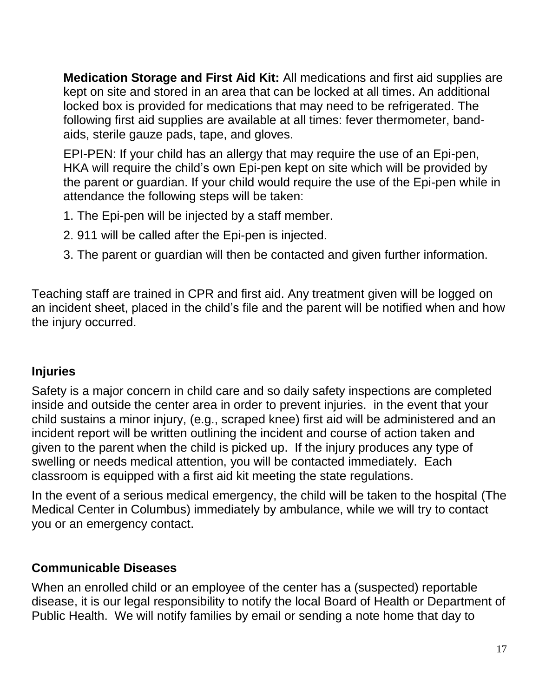**Medication Storage and First Aid Kit:** All medications and first aid supplies are kept on site and stored in an area that can be locked at all times. An additional locked box is provided for medications that may need to be refrigerated. The following first aid supplies are available at all times: fever thermometer, bandaids, sterile gauze pads, tape, and gloves.

EPI-PEN: If your child has an allergy that may require the use of an Epi-pen, HKA will require the child's own Epi-pen kept on site which will be provided by the parent or guardian. If your child would require the use of the Epi-pen while in attendance the following steps will be taken:

- 1. The Epi-pen will be injected by a staff member.
- 2. 911 will be called after the Epi-pen is injected.
- 3. The parent or guardian will then be contacted and given further information.

Teaching staff are trained in CPR and first aid. Any treatment given will be logged on an incident sheet, placed in the child's file and the parent will be notified when and how the injury occurred.

## <span id="page-20-0"></span>**Injuries**

Safety is a major concern in child care and so daily safety inspections are completed inside and outside the center area in order to prevent injuries. in the event that your child sustains a minor injury, (e.g., scraped knee) first aid will be administered and an incident report will be written outlining the incident and course of action taken and given to the parent when the child is picked up. If the injury produces any type of swelling or needs medical attention, you will be contacted immediately. Each classroom is equipped with a first aid kit meeting the state regulations.

In the event of a serious medical emergency, the child will be taken to the hospital (The Medical Center in Columbus) immediately by ambulance, while we will try to contact you or an emergency contact.

## <span id="page-20-1"></span>**Communicable Diseases**

When an enrolled child or an employee of the center has a (suspected) reportable disease, it is our legal responsibility to notify the local Board of Health or Department of Public Health. We will notify families by email or sending a note home that day to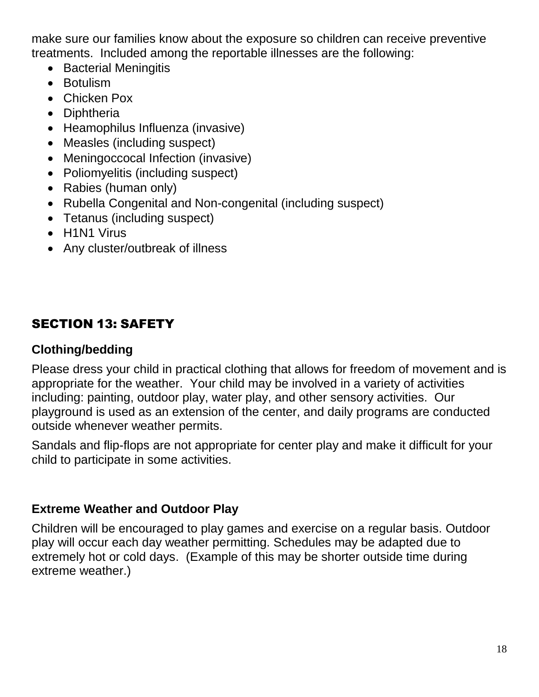make sure our families know about the exposure so children can receive preventive treatments. Included among the reportable illnesses are the following:

- Bacterial Meningitis
- Botulism
- Chicken Pox
- Diphtheria
- Heamophilus Influenza (invasive)
- Measles (including suspect)
- Meningoccocal Infection (invasive)
- Poliomyelitis (including suspect)
- Rabies (human only)
- Rubella Congenital and Non-congenital (including suspect)
- Tetanus (including suspect)
- H1N1 Virus
- <span id="page-21-0"></span>Any cluster/outbreak of illness

## SECTION 13: SAFETY

## <span id="page-21-1"></span>**Clothing/bedding**

Please dress your child in practical clothing that allows for freedom of movement and is appropriate for the weather. Your child may be involved in a variety of activities including: painting, outdoor play, water play, and other sensory activities. Our playground is used as an extension of the center, and daily programs are conducted outside whenever weather permits.

<span id="page-21-2"></span>Sandals and flip-flops are not appropriate for center play and make it difficult for your child to participate in some activities.

## **Extreme Weather and Outdoor Play**

Children will be encouraged to play games and exercise on a regular basis. Outdoor play will occur each day weather permitting. Schedules may be adapted due to extremely hot or cold days. (Example of this may be shorter outside time during extreme weather.)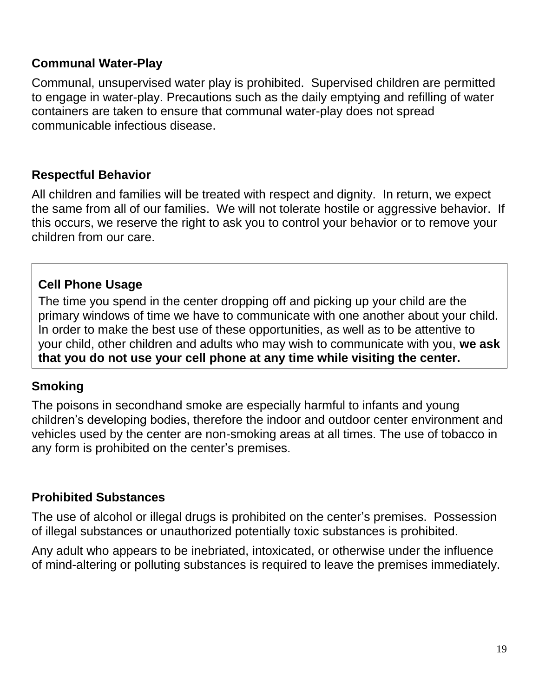#### <span id="page-22-0"></span>**Communal Water-Play**

Communal, unsupervised water play is prohibited. Supervised children are permitted to engage in water-play. Precautions such as the daily emptying and refilling of water containers are taken to ensure that communal water-play does not spread communicable infectious disease.

#### <span id="page-22-1"></span>**Respectful Behavior**

All children and families will be treated with respect and dignity. In return, we expect the same from all of our families. We will not tolerate hostile or aggressive behavior. If this occurs, we reserve the right to ask you to control your behavior or to remove your children from our care.

## **Cell Phone Usage**

The time you spend in the center dropping off and picking up your child are the primary windows of time we have to communicate with one another about your child. In order to make the best use of these opportunities, as well as to be attentive to your child, other children and adults who may wish to communicate with you, **we ask that you do not use your cell phone at any time while visiting the center.**

#### <span id="page-22-2"></span>**Smoking**

The poisons in secondhand smoke are especially harmful to infants and young children's developing bodies, therefore the indoor and outdoor center environment and vehicles used by the center are non-smoking areas at all times. The use of tobacco in any form is prohibited on the center's premises.

#### <span id="page-22-3"></span>**Prohibited Substances**

The use of alcohol or illegal drugs is prohibited on the center's premises. Possession of illegal substances or unauthorized potentially toxic substances is prohibited.

Any adult who appears to be inebriated, intoxicated, or otherwise under the influence of mind-altering or polluting substances is required to leave the premises immediately.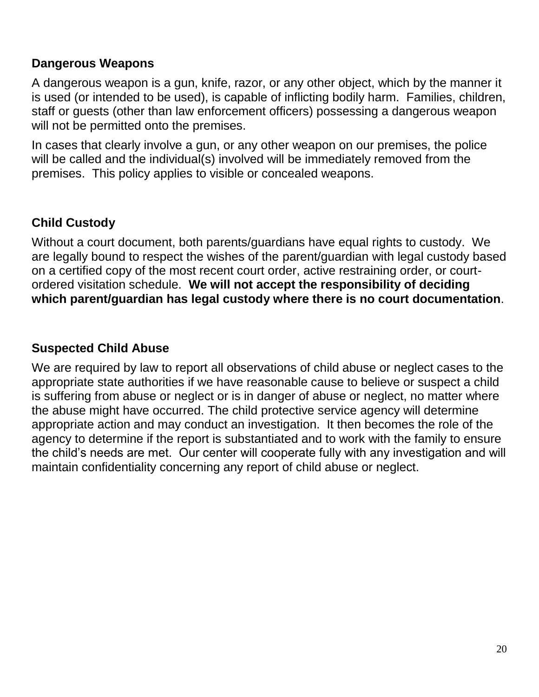#### <span id="page-23-0"></span>**Dangerous Weapons**

A dangerous weapon is a gun, knife, razor, or any other object, which by the manner it is used (or intended to be used), is capable of inflicting bodily harm. Families, children, staff or guests (other than law enforcement officers) possessing a dangerous weapon will not be permitted onto the premises.

In cases that clearly involve a gun, or any other weapon on our premises, the police will be called and the individual(s) involved will be immediately removed from the premises. This policy applies to visible or concealed weapons.

## <span id="page-23-1"></span>**Child Custody**

Without a court document, both parents/guardians have equal rights to custody. We are legally bound to respect the wishes of the parent/guardian with legal custody based on a certified copy of the most recent court order, active restraining order, or courtordered visitation schedule. **We will not accept the responsibility of deciding which parent/guardian has legal custody where there is no court documentation**.

#### <span id="page-23-2"></span>**Suspected Child Abuse**

<span id="page-23-3"></span>We are required by law to report all observations of child abuse or neglect cases to the appropriate state authorities if we have reasonable cause to believe or suspect a child is suffering from abuse or neglect or is in danger of abuse or neglect, no matter where the abuse might have occurred. The child protective service agency will determine appropriate action and may conduct an investigation. It then becomes the role of the agency to determine if the report is substantiated and to work with the family to ensure the child's needs are met. Our center will cooperate fully with any investigation and will maintain confidentiality concerning any report of child abuse or neglect.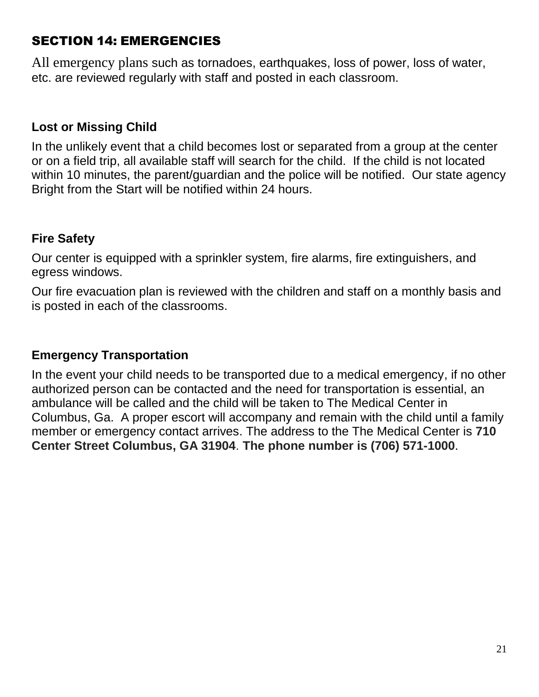## SECTION 14: EMERGENCIES

<span id="page-24-0"></span>All emergency plans such as tornadoes, earthquakes, loss of power, loss of water, etc. are reviewed regularly with staff and posted in each classroom.

#### **Lost or Missing Child**

In the unlikely event that a child becomes lost or separated from a group at the center or on a field trip, all available staff will search for the child. If the child is not located within 10 minutes, the parent/guardian and the police will be notified. Our state agency Bright from the Start will be notified within 24 hours.

#### <span id="page-24-1"></span>**Fire Safety**

Our center is equipped with a sprinkler system, fire alarms, fire extinguishers, and egress windows.

<span id="page-24-2"></span>Our fire evacuation plan is reviewed with the children and staff on a monthly basis and is posted in each of the classrooms.

#### **Emergency Transportation**

In the event your child needs to be transported due to a medical emergency, if no other authorized person can be contacted and the need for transportation is essential, an ambulance will be called and the child will be taken to The Medical Center in Columbus, Ga. A proper escort will accompany and remain with the child until a family member or emergency contact arrives. The address to the The Medical Center is **710 Center Street Columbus, GA 31904**. **The phone number is (706) 571-1000**.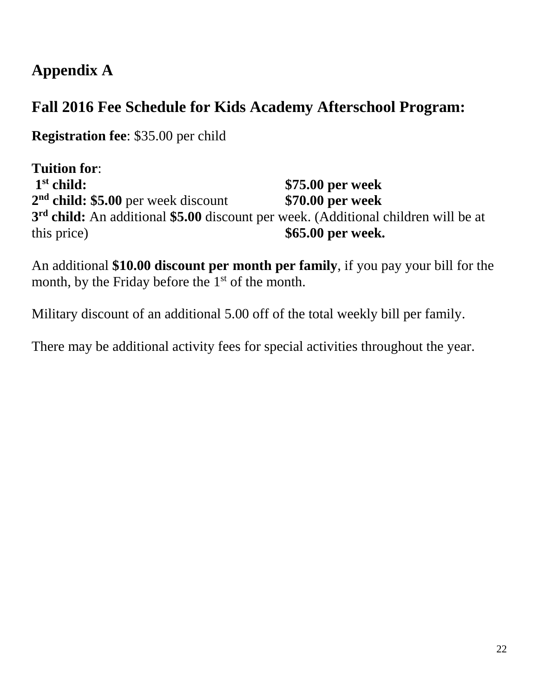# **Appendix A**

# **Fall 2016 Fee Schedule for Kids Academy Afterschool Program:**

**Registration fee**: \$35.00 per child

**Tuition for**:  $1<sup>st</sup>$  child: **st child: \$75.00 per week 2 nd child: \$5.00** per week discount **\$70.00 per week 3 rd child:** An additional **\$5.00** discount per week. (Additional children will be at this price) **\$65.00 per week.** 

An additional **\$10.00 discount per month per family**, if you pay your bill for the month, by the Friday before the  $1<sup>st</sup>$  of the month.

Military discount of an additional 5.00 off of the total weekly bill per family.

There may be additional activity fees for special activities throughout the year.